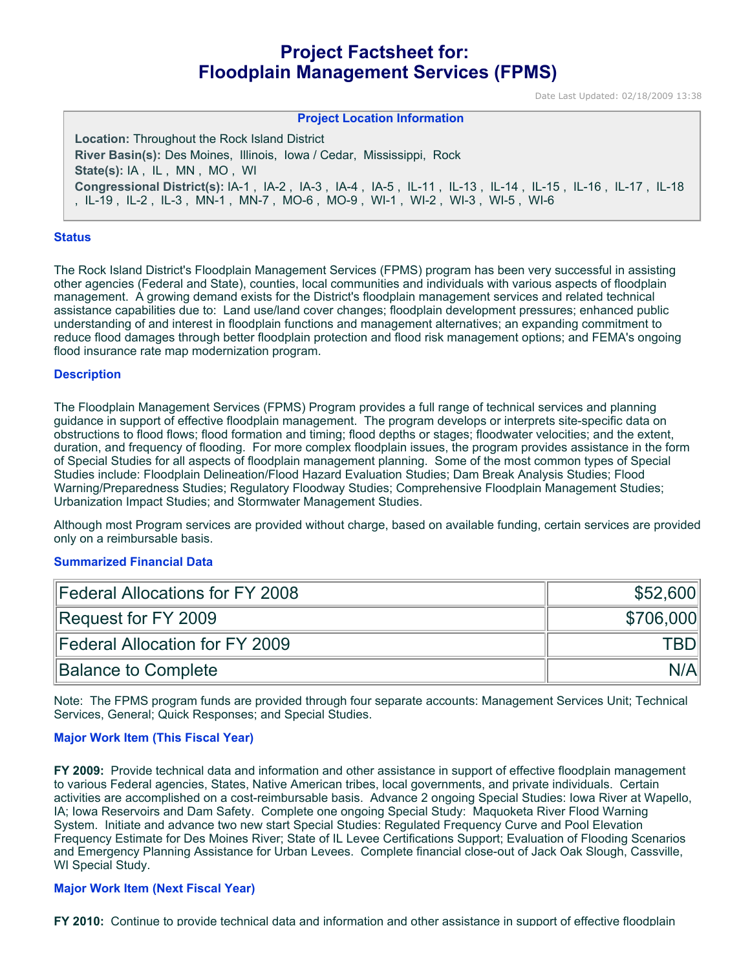# **Project Factsheet for: Floodplain Management Services (FPMS)**

Date Last Updated: 02/18/2009 13:38

## **Project Location Information Location:** Throughout the Rock Island District **River Basin(s):** Des Moines, Illinois, Iowa / Cedar, Mississippi, Rock **State(s):** IA , IL , MN , MO , WI **Congressional District(s):** IA-1 , IA-2 , IA-3 , IA-4 , IA-5 , IL-11 , IL-13 , IL-14 , IL-15 , IL-16 , IL-17 , IL-18 , IL-19 , IL-2 , IL-3 , MN-1 , MN-7 , MO-6 , MO-9 , WI-1 , WI-2 , WI-3 , WI-5 , WI-6

#### **Status**

The Rock Island District's Floodplain Management Services (FPMS) program has been very successful in assisting other agencies (Federal and State), counties, local communities and individuals with various aspects of floodplain management. A growing demand exists for the District's floodplain management services and related technical assistance capabilities due to: Land use/land cover changes; floodplain development pressures; enhanced public understanding of and interest in floodplain functions and management alternatives; an expanding commitment to reduce flood damages through better floodplain protection and flood risk management options; and FEMA's ongoing flood insurance rate map modernization program.

#### **Description**

The Floodplain Management Services (FPMS) Program provides a full range of technical services and planning guidance in support of effective floodplain management. The program develops or interprets site-specific data on obstructions to flood flows; flood formation and timing; flood depths or stages; floodwater velocities; and the extent, duration, and frequency of flooding. For more complex floodplain issues, the program provides assistance in the form of Special Studies for all aspects of floodplain management planning. Some of the most common types of Special Studies include: Floodplain Delineation/Flood Hazard Evaluation Studies; Dam Break Analysis Studies; Flood Warning/Preparedness Studies; Regulatory Floodway Studies; Comprehensive Floodplain Management Studies; Urbanization Impact Studies; and Stormwater Management Studies.

Although most Program services are provided without charge, based on available funding, certain services are provided only on a reimbursable basis.

#### **Summarized Financial Data**

| Federal Allocations for FY 2008 | \$52,600  |
|---------------------------------|-----------|
| Request for FY 2009             | \$706,000 |
| Federal Allocation for FY 2009  | TBDI      |
| Balance to Complete             | N/A       |

Note: The FPMS program funds are provided through four separate accounts: Management Services Unit; Technical Services, General; Quick Responses; and Special Studies.

#### **Major Work Item (This Fiscal Year)**

**FY 2009:** Provide technical data and information and other assistance in support of effective floodplain management to various Federal agencies, States, Native American tribes, local governments, and private individuals. Certain activities are accomplished on a cost-reimbursable basis. Advance 2 ongoing Special Studies: Iowa River at Wapello, IA; Iowa Reservoirs and Dam Safety. Complete one ongoing Special Study: Maquoketa River Flood Warning System. Initiate and advance two new start Special Studies: Regulated Frequency Curve and Pool Elevation Frequency Estimate for Des Moines River; State of IL Levee Certifications Support; Evaluation of Flooding Scenarios and Emergency Planning Assistance for Urban Levees. Complete financial close-out of Jack Oak Slough, Cassville, WI Special Study.

#### **Major Work Item (Next Fiscal Year)**

**FY 2010:** Continue to provide technical data and information and other assistance in support of effective floodplain